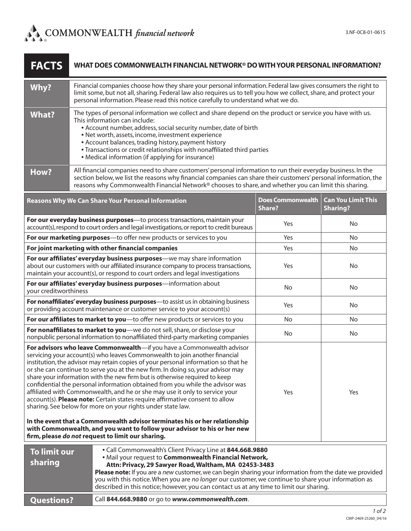| <b>FACTS</b>                                                                                                                                                                                                                                                                                                                                                                                                                                                                                                                                                                                                                                                                                                                | WHAT DOES COMMONWEALTH FINANCIAL NETWORK® DO WITH YOUR PERSONAL INFORMATION?                                                                                                                                                                                                                                                                                                                                                                                                              |                                                  |                                           |                                              |
|-----------------------------------------------------------------------------------------------------------------------------------------------------------------------------------------------------------------------------------------------------------------------------------------------------------------------------------------------------------------------------------------------------------------------------------------------------------------------------------------------------------------------------------------------------------------------------------------------------------------------------------------------------------------------------------------------------------------------------|-------------------------------------------------------------------------------------------------------------------------------------------------------------------------------------------------------------------------------------------------------------------------------------------------------------------------------------------------------------------------------------------------------------------------------------------------------------------------------------------|--------------------------------------------------|-------------------------------------------|----------------------------------------------|
| Why?                                                                                                                                                                                                                                                                                                                                                                                                                                                                                                                                                                                                                                                                                                                        | Financial companies choose how they share your personal information. Federal law gives consumers the right to<br>limit some, but not all, sharing. Federal law also requires us to tell you how we collect, share, and protect your<br>personal information. Please read this notice carefully to understand what we do.                                                                                                                                                                  |                                                  |                                           |                                              |
| <b>What?</b>                                                                                                                                                                                                                                                                                                                                                                                                                                                                                                                                                                                                                                                                                                                | The types of personal information we collect and share depend on the product or service you have with us.<br>This information can include:<br>• Account number, address, social security number, date of birth<br>• Net worth, assets, income, investment experience<br>• Account balances, trading history, payment history<br>• Transactions or credit relationships with nonaffiliated third parties<br>• Medical information (if applying for insurance)                              |                                                  |                                           |                                              |
| How?                                                                                                                                                                                                                                                                                                                                                                                                                                                                                                                                                                                                                                                                                                                        | All financial companies need to share customers' personal information to run their everyday business. In the<br>section below, we list the reasons why financial companies can share their customers' personal information, the<br>reasons why Commonwealth Financial Network® chooses to share, and whether you can limit this sharing.                                                                                                                                                  |                                                  |                                           |                                              |
| <b>Reasons Why We Can Share Your Personal Information</b>                                                                                                                                                                                                                                                                                                                                                                                                                                                                                                                                                                                                                                                                   |                                                                                                                                                                                                                                                                                                                                                                                                                                                                                           |                                                  | <b>Does Commonwealth</b><br><b>Share?</b> | <b>Can You Limit This</b><br><b>Sharing?</b> |
| For our everyday business purposes-to process transactions, maintain your<br>account(s), respond to court orders and legal investigations, or report to credit bureaus                                                                                                                                                                                                                                                                                                                                                                                                                                                                                                                                                      |                                                                                                                                                                                                                                                                                                                                                                                                                                                                                           |                                                  | Yes                                       | No                                           |
| For our marketing purposes-to offer new products or services to you                                                                                                                                                                                                                                                                                                                                                                                                                                                                                                                                                                                                                                                         |                                                                                                                                                                                                                                                                                                                                                                                                                                                                                           |                                                  | Yes                                       | <b>No</b>                                    |
| For joint marketing with other financial companies                                                                                                                                                                                                                                                                                                                                                                                                                                                                                                                                                                                                                                                                          |                                                                                                                                                                                                                                                                                                                                                                                                                                                                                           |                                                  | Yes                                       | No                                           |
| For our affiliates' everyday business purposes-we may share information<br>about our customers with our affiliated insurance company to process transactions,<br>maintain your account(s), or respond to court orders and legal investigations                                                                                                                                                                                                                                                                                                                                                                                                                                                                              |                                                                                                                                                                                                                                                                                                                                                                                                                                                                                           |                                                  | Yes                                       | No                                           |
| For our affiliates' everyday business purposes-information about<br>your creditworthiness                                                                                                                                                                                                                                                                                                                                                                                                                                                                                                                                                                                                                                   |                                                                                                                                                                                                                                                                                                                                                                                                                                                                                           |                                                  | No                                        | No                                           |
| For nonaffiliates' everyday business purposes-to assist us in obtaining business<br>or providing account maintenance or customer service to your account(s)                                                                                                                                                                                                                                                                                                                                                                                                                                                                                                                                                                 |                                                                                                                                                                                                                                                                                                                                                                                                                                                                                           |                                                  | Yes                                       | No                                           |
| For our affiliates to market to you-to offer new products or services to you                                                                                                                                                                                                                                                                                                                                                                                                                                                                                                                                                                                                                                                |                                                                                                                                                                                                                                                                                                                                                                                                                                                                                           |                                                  | No.                                       | No                                           |
| For nonaffiliates to market to you-we do not sell, share, or disclose your<br>nonpublic personal information to nonaffiliated third-party marketing companies                                                                                                                                                                                                                                                                                                                                                                                                                                                                                                                                                               |                                                                                                                                                                                                                                                                                                                                                                                                                                                                                           |                                                  | No                                        | No                                           |
| For advisors who leave Commonwealth-if you have a Commonwealth advisor<br>servicing your account(s) who leaves Commonwealth to join another financial<br>institution, the advisor may retain copies of your personal information so that he<br>or she can continue to serve you at the new firm. In doing so, your advisor may<br>share your information with the new firm but is otherwise required to keep<br>confidential the personal information obtained from you while the advisor was<br>affiliated with Commonwealth, and he or she may use it only to service your<br>account(s). Please note: Certain states require affirmative consent to allow<br>sharing. See below for more on your rights under state law. |                                                                                                                                                                                                                                                                                                                                                                                                                                                                                           |                                                  | Yes                                       | Yes                                          |
| In the event that a Commonwealth advisor terminates his or her relationship<br>with Commonwealth, and you want to follow your advisor to his or her new<br>firm, please do not request to limit our sharing.                                                                                                                                                                                                                                                                                                                                                                                                                                                                                                                |                                                                                                                                                                                                                                                                                                                                                                                                                                                                                           |                                                  |                                           |                                              |
| <b>To limit our</b><br>sharing                                                                                                                                                                                                                                                                                                                                                                                                                                                                                                                                                                                                                                                                                              | • Call Commonwealth's Client Privacy Line at 844.668.9880<br>. Mail your request to Commonwealth Financial Network,<br>Attn: Privacy, 29 Sawyer Road, Waltham, MA 02453-3483<br>Please note: If you are a new customer, we can begin sharing your information from the date we provided<br>you with this notice. When you are no longer our customer, we continue to share your information as<br>described in this notice; however, you can contact us at any time to limit our sharing. |                                                  |                                           |                                              |
| <b>Questions?</b>                                                                                                                                                                                                                                                                                                                                                                                                                                                                                                                                                                                                                                                                                                           |                                                                                                                                                                                                                                                                                                                                                                                                                                                                                           | Call 844.668.9880 or go to www.commonwealth.com. |                                           |                                              |